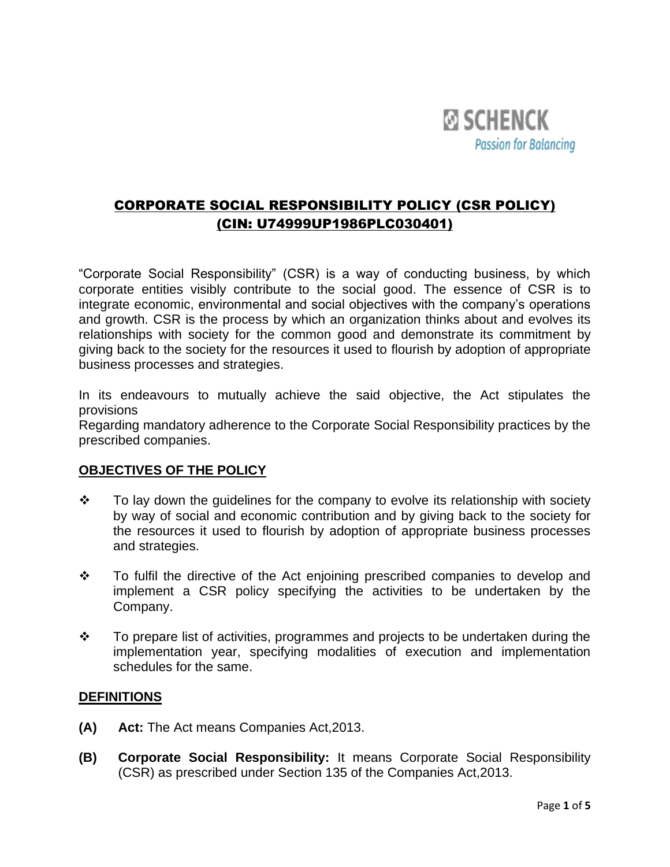

# CORPORATE SOCIAL RESPONSIBILITY POLICY (CSR POLICY) (CIN: U74999UP1986PLC030401)

"Corporate Social Responsibility" (CSR) is a way of conducting business, by which corporate entities visibly contribute to the social good. The essence of CSR is to integrate economic, environmental and social objectives with the company's operations and growth. CSR is the process by which an organization thinks about and evolves its relationships with society for the common good and demonstrate its commitment by giving back to the society for the resources it used to flourish by adoption of appropriate business processes and strategies.

In its endeavours to mutually achieve the said objective, the Act stipulates the provisions

Regarding mandatory adherence to the Corporate Social Responsibility practices by the prescribed companies.

### **OBJECTIVES OF THE POLICY**

- ❖ To lay down the guidelines for the company to evolve its relationship with society by way of social and economic contribution and by giving back to the society for the resources it used to flourish by adoption of appropriate business processes and strategies.
- ❖ To fulfil the directive of the Act enjoining prescribed companies to develop and implement a CSR policy specifying the activities to be undertaken by the Company.
- ❖ To prepare list of activities, programmes and projects to be undertaken during the implementation year, specifying modalities of execution and implementation schedules for the same.

### **DEFINITIONS**

- **(A) Act:** The Act means Companies Act,2013.
- **(B) Corporate Social Responsibility:** It means Corporate Social Responsibility (CSR) as prescribed under Section 135 of the Companies Act,2013.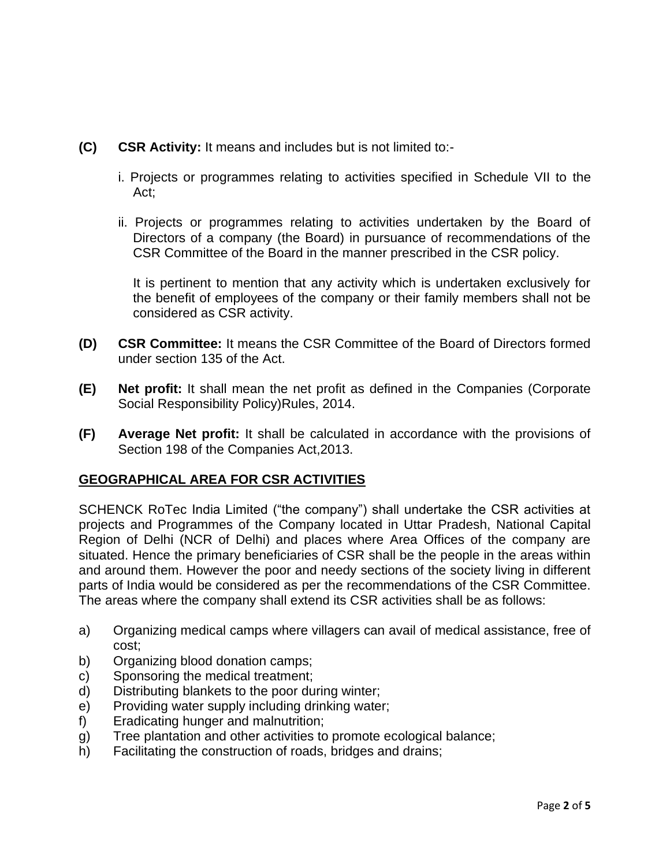- **(C) CSR Activity:** It means and includes but is not limited to:
	- i. Projects or programmes relating to activities specified in Schedule VII to the Act;
	- ii. Projects or programmes relating to activities undertaken by the Board of Directors of a company (the Board) in pursuance of recommendations of the CSR Committee of the Board in the manner prescribed in the CSR policy.

It is pertinent to mention that any activity which is undertaken exclusively for the benefit of employees of the company or their family members shall not be considered as CSR activity.

- **(D) CSR Committee:** It means the CSR Committee of the Board of Directors formed under section 135 of the Act.
- **(E) Net profit:** It shall mean the net profit as defined in the Companies (Corporate Social Responsibility Policy)Rules, 2014.
- **(F) Average Net profit:** It shall be calculated in accordance with the provisions of Section 198 of the Companies Act,2013.

### **GEOGRAPHICAL AREA FOR CSR ACTIVITIES**

SCHENCK RoTec India Limited ("the company") shall undertake the CSR activities at projects and Programmes of the Company located in Uttar Pradesh, National Capital Region of Delhi (NCR of Delhi) and places where Area Offices of the company are situated. Hence the primary beneficiaries of CSR shall be the people in the areas within and around them. However the poor and needy sections of the society living in different parts of India would be considered as per the recommendations of the CSR Committee. The areas where the company shall extend its CSR activities shall be as follows:

- a) Organizing medical camps where villagers can avail of medical assistance, free of cost;
- b) Organizing blood donation camps;
- c) Sponsoring the medical treatment;
- d) Distributing blankets to the poor during winter;
- e) Providing water supply including drinking water;
- f) Eradicating hunger and malnutrition;
- g) Tree plantation and other activities to promote ecological balance;
- h) Facilitating the construction of roads, bridges and drains;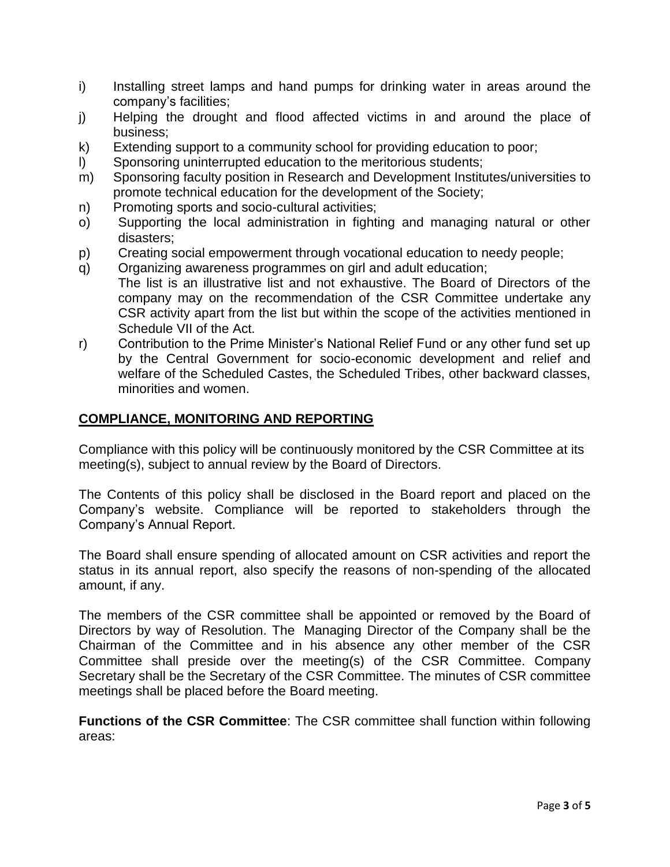- i) Installing street lamps and hand pumps for drinking water in areas around the company's facilities;
- j) Helping the drought and flood affected victims in and around the place of business;
- k) Extending support to a community school for providing education to poor;
- l) Sponsoring uninterrupted education to the meritorious students;
- m) Sponsoring faculty position in Research and Development Institutes/universities to promote technical education for the development of the Society;
- n) Promoting sports and socio-cultural activities;
- o) Supporting the local administration in fighting and managing natural or other disasters;
- p) Creating social empowerment through vocational education to needy people;
- q) Organizing awareness programmes on girl and adult education; The list is an illustrative list and not exhaustive. The Board of Directors of the company may on the recommendation of the CSR Committee undertake any CSR activity apart from the list but within the scope of the activities mentioned in
- Schedule VII of the Act. r) Contribution to the Prime Minister's National Relief Fund or any other fund set up by the Central Government for socio-economic development and relief and welfare of the Scheduled Castes, the Scheduled Tribes, other backward classes, minorities and women.

## **COMPLIANCE, MONITORING AND REPORTING**

Compliance with this policy will be continuously monitored by the CSR Committee at its meeting(s), subject to annual review by the Board of Directors.

The Contents of this policy shall be disclosed in the Board report and placed on the Company's website. Compliance will be reported to stakeholders through the Company's Annual Report.

The Board shall ensure spending of allocated amount on CSR activities and report the status in its annual report, also specify the reasons of non-spending of the allocated amount, if any.

The members of the CSR committee shall be appointed or removed by the Board of Directors by way of Resolution. The Managing Director of the Company shall be the Chairman of the Committee and in his absence any other member of the CSR Committee shall preside over the meeting(s) of the CSR Committee. Company Secretary shall be the Secretary of the CSR Committee. The minutes of CSR committee meetings shall be placed before the Board meeting.

**Functions of the CSR Committee**: The CSR committee shall function within following areas: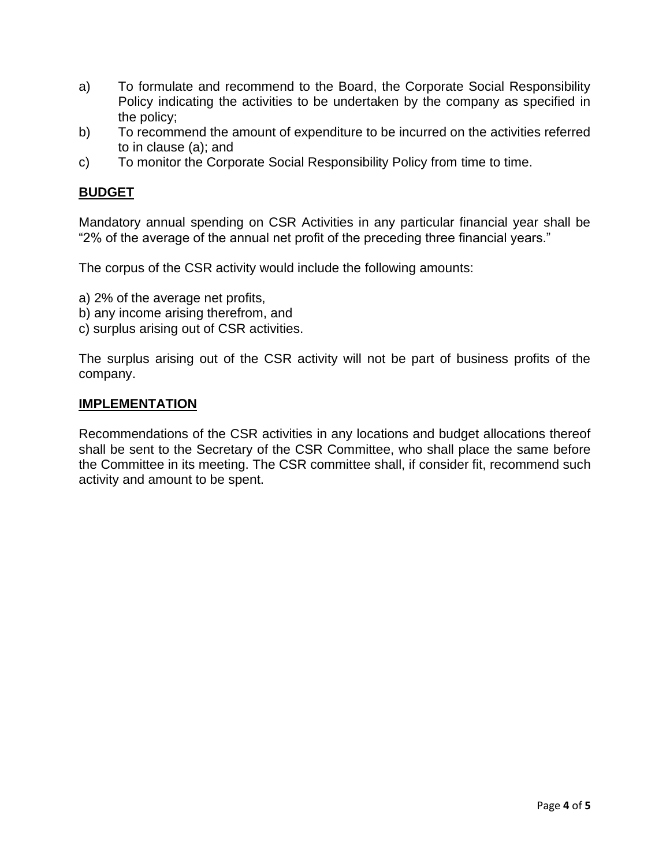- a) To formulate and recommend to the Board, the Corporate Social Responsibility Policy indicating the activities to be undertaken by the company as specified in the policy;
- b) To recommend the amount of expenditure to be incurred on the activities referred to in clause (a); and
- c) To monitor the Corporate Social Responsibility Policy from time to time.

## **BUDGET**

Mandatory annual spending on CSR Activities in any particular financial year shall be "2% of the average of the annual net profit of the preceding three financial years."

The corpus of the CSR activity would include the following amounts:

- a) 2% of the average net profits,
- b) any income arising therefrom, and
- c) surplus arising out of CSR activities.

The surplus arising out of the CSR activity will not be part of business profits of the company.

### **IMPLEMENTATION**

Recommendations of the CSR activities in any locations and budget allocations thereof shall be sent to the Secretary of the CSR Committee, who shall place the same before the Committee in its meeting. The CSR committee shall, if consider fit, recommend such activity and amount to be spent.